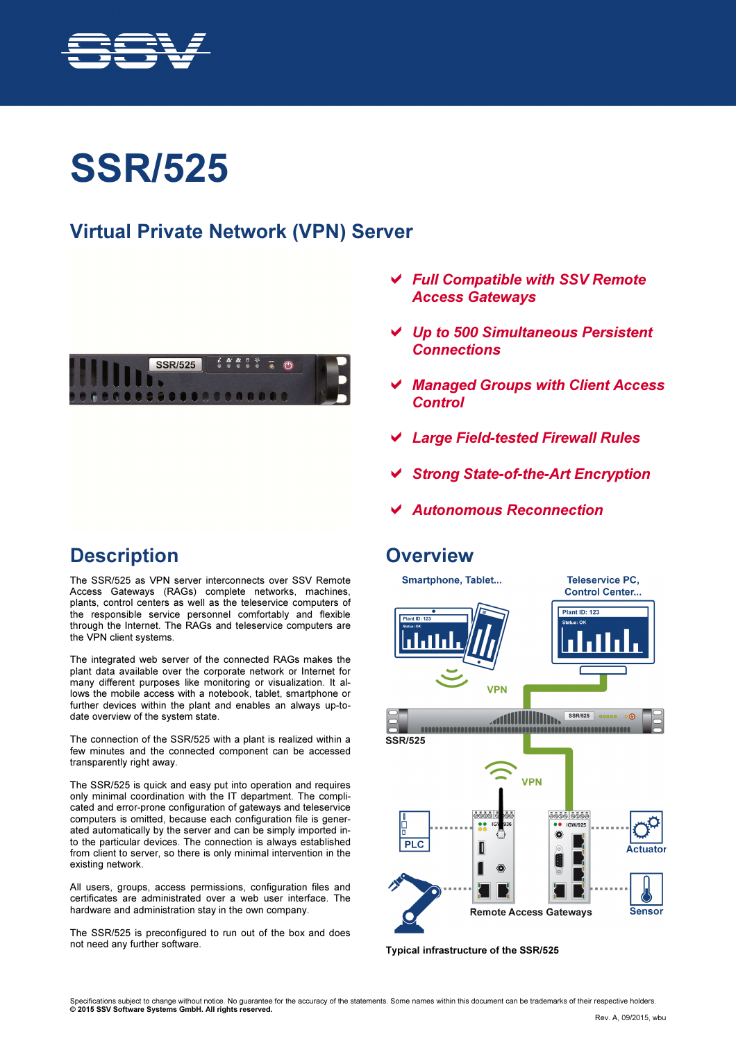

# SSR/525

#### Virtual Private Network (VPN) Server



- Full Compatible with SSV Remote Access Gateways
- Up to 500 Simultaneous Persistent **Connections**
- Managed Groups with Client Access **Control**
- Large Field-tested Firewall Rules
- Strong State-of-the-Art Encryption
- Autonomous Reconnection

#### **Overview**



Typical infrastructure of the SSR/525

#### **Description**

The SSR/525 as VPN server interconnects over SSV Remote Access Gateways (RAGs) complete networks, machines, plants, control centers as well as the teleservice computers of the responsible service personnel comfortably and flexible through the Internet. The RAGs and teleservice computers are the VPN client systems.

The integrated web server of the connected RAGs makes the plant data available over the corporate network or Internet for many different purposes like monitoring or visualization. It allows the mobile access with a notebook, tablet, smartphone or further devices within the plant and enables an always up-todate overview of the system state.

The connection of the SSR/525 with a plant is realized within a few minutes and the connected component can be accessed transparently right away.

The SSR/525 is quick and easy put into operation and requires only minimal coordination with the IT department. The complicated and error-prone configuration of gateways and teleservice computers is omitted, because each configuration file is generated automatically by the server and can be simply imported into the particular devices. The connection is always established from client to server, so there is only minimal intervention in the existing network.

All users, groups, access permissions, configuration files and certificates are administrated over a web user interface. The hardware and administration stay in the own company.

The SSR/525 is preconfigured to run out of the box and does not need any further software.